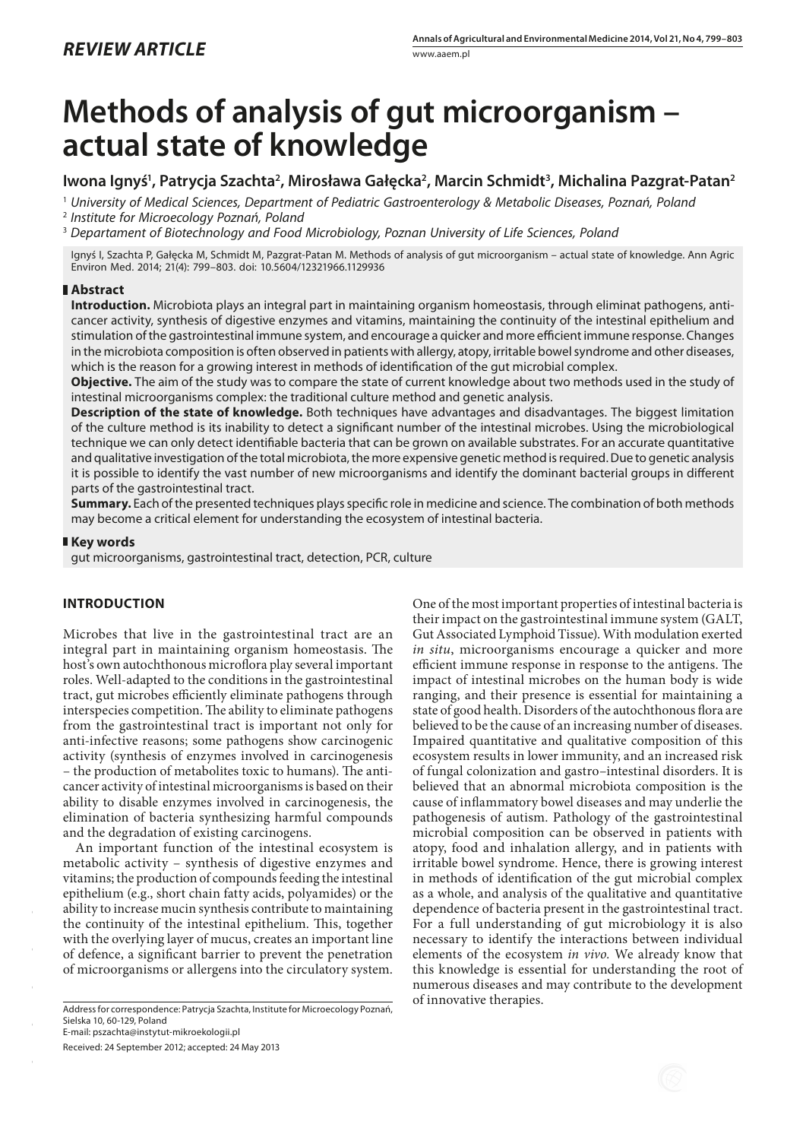# **Methods of analysis of gut microorganism – actual state of knowledge**

## Iwona Ignyś<sup>1</sup>, Patrycja Szachta<sup>2</sup>, Mirosława Gałęcka<sup>2</sup>, Marcin Schmidt<sup>3</sup>, Michalina Pazgrat-Patan<sup>2</sup>

1  *University of Medical Sciences, Department of Pediatric Gastroenterology & Metabolic Diseases, Poznań, Poland*

2  *Institute for Microecology Poznań, Poland*

3  *Departament of Biotechnology and Food Microbiology, Poznan University of Life Sciences, Poland*

Ignyś I, Szachta P, Gałęcka M, Schmidt M, Pazgrat-Patan M. Methods of analysis of gut microorganism – actual state of knowledge. Ann Agric Environ Med. 2014; 21(4): 799–803. doi: 10.5604/12321966.1129936

## **Abstract**

**Introduction.** Microbiota plays an integral part in maintaining organism homeostasis, through eliminat pathogens, anticancer activity, synthesis of digestive enzymes and vitamins, maintaining the continuity of the intestinal epithelium and stimulation of the gastrointestinal immune system, and encourage a quicker and more efficient immune response. Changes in the microbiota composition is often observed in patients with allergy, atopy, irritable bowel syndrome and other diseases, which is the reason for a growing interest in methods of identification of the gut microbial complex.

**Objective.** The aim of the study was to compare the state of current knowledge about two methods used in the study of intestinal microorganisms complex: the traditional culture method and genetic analysis.

**Description of the state of knowledge.** Both techniques have advantages and disadvantages. The biggest limitation of the culture method is its inability to detect a significant number of the intestinal microbes. Using the microbiological technique we can only detect identifiable bacteria that can be grown on available substrates. For an accurate quantitative and qualitative investigation of the total microbiota, the more expensive genetic method is required. Due to genetic analysis it is possible to identify the vast number of new microorganisms and identify the dominant bacterial groups in different parts of the gastrointestinal tract.

**Summary.** Each of the presented techniques plays specific role in medicine and science. The combination of both methods may become a critical element for understanding the ecosystem of intestinal bacteria.

## **Key words**

gut microorganisms, gastrointestinal tract, detection, PCR, culture

## **INTRODUCTION**

Microbes that live in the gastrointestinal tract are an integral part in maintaining organism homeostasis. The host's own autochthonous microflora play several important roles. Well-adapted to the conditions in the gastrointestinal tract, gut microbes efficiently eliminate pathogens through interspecies competition. The ability to eliminate pathogens from the gastrointestinal tract is important not only for [anti-infective](http://megaslownik.pl/slownik/angielsko_polski/,anti-infective) reasons; some pathogens show [carcinogenic](http://megaslownik.pl/slownik/angielsko_polski/,carcinogenic) activity (synthesis of enzymes involved in carcinogenesis – the production of metabolites toxic to humans). The anticancer activity of intestinal microorganisms is based on their ability to disable enzymes involved in carcinogenesis, the elimination of bacteria synthesizing harmful compounds and the degradation of existing carcinogens.

An important function of the intestinal ecosystem is metabolic activity – synthesis of digestive enzymes and vitamins; the production of compounds feeding the intestinal epithelium (e.g., short chain fatty acids, polyamides) or the ability to increase mucin synthesis contribute to maintaining the continuity of the intestinal epithelium. This, together with the overlying layer of mucus, creates an important line of defence, a significant barrier to prevent the penetration of microorganisms or allergens into the circulatory system.

of innovative therapies. Address for correspondence: Patrycja Szachta, Institute for Microecology Poznań, Sielska 10, 60-129, Poland

E-mail: pszachta@instytut-mikroekologii.pl

Received: 24 September 2012; accepted: 24 May 2013

One of the most important properties of intestinal bacteria is their impact on the gastrointestinal immune system (GALT, Gut Associated Lymphoid Tissue). With modulation exerted *in situ*, microorganisms encourage a quicker and more efficient immune response in response to the antigens. The impact of intestinal microbes on the human body is wide ranging, and their presence is essential for maintaining a state of good health. Disorders of the autochthonous flora are believed to be the cause of an increasing number of diseases. Impaired quantitative and qualitative composition of this ecosystem results in lower immunity, and an increased risk of fungal colonization and gastro–intestinal disorders. It is believed that an abnormal microbiota composition is the cause of inflammatory bowel diseases and may underlie the pathogenesis of autism. Pathology of the gastrointestinal microbial composition can be observed in patients with atopy, food and inhalation allergy, and in patients with irritable bowel syndrome. Hence, there is growing interest in methods of identification of the gut microbial complex as a whole, and analysis of the qualitative and quantitative dependence of bacteria present in the gastrointestinal tract. For a full understanding of gut microbiology it is also necessary to identify the interactions between individual elements of the ecosystem *in vivo.* We already know that this knowledge is essential for understanding the root of numerous diseases and may contribute to the development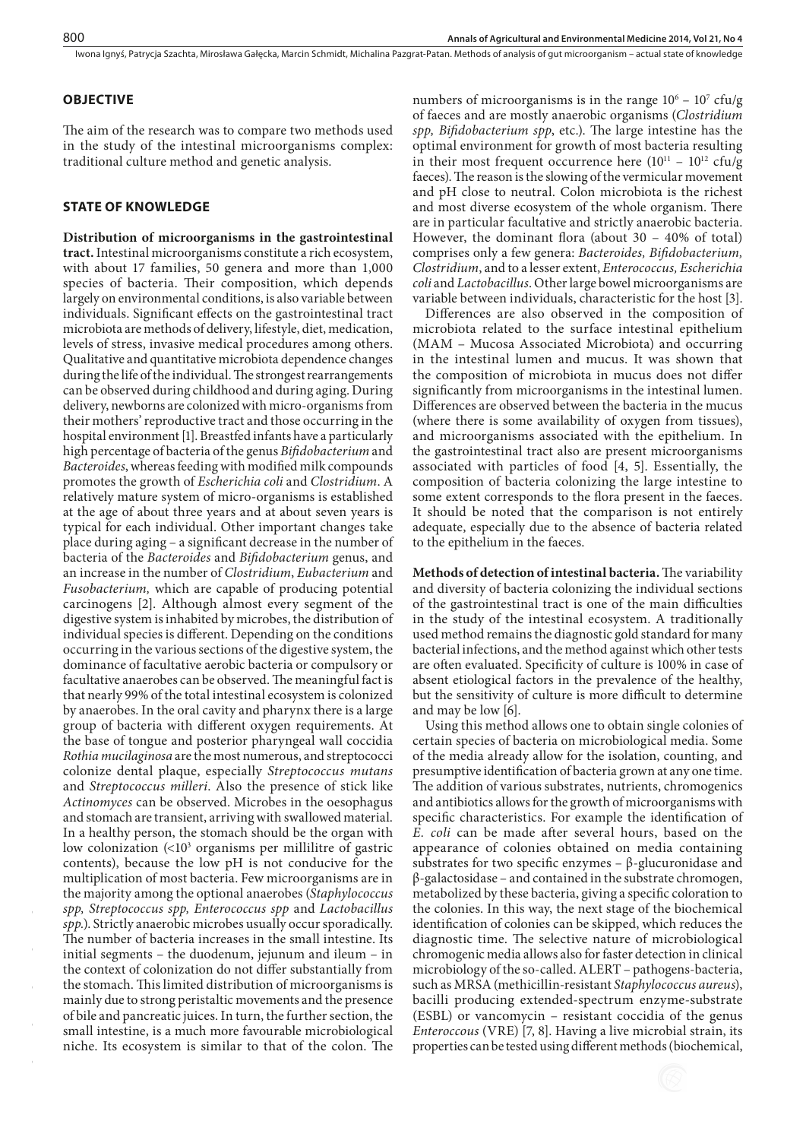## **OBJECTIVE**

The aim of the research was to compare two methods used in the study of the intestinal microorganisms complex: traditional culture method and genetic analysis.

## **STATE OF KNOWLEDGE**

**Distribution of microorganisms in the gastrointestinal tract.** Intestinal microorganisms constitute a rich ecosystem, with about 17 families, 50 genera and more than 1,000 species of bacteria. Their composition, which depends largely on environmental conditions, is also variable between individuals. Significant effects on the gastrointestinal tract microbiota are methods of delivery, lifestyle, diet, medication, levels of stress, invasive medical procedures among others. Qualitative and quantitative microbiota dependence changes during the life of the individual. The strongest rearrangements can be observed during childhood and during aging. During delivery, newborns are colonized with micro-organisms from their mothers' reproductive tract and those occurring in the hospital environment [1]. Breastfed infants have a particularly high percentage of bacteria of the genus *Bifidobacterium* and *Bacteroides*, whereas feeding with modified milk compounds promotes the growth of *Escherichia coli* and *Clostridium*. A relatively mature system of micro-organisms is established at the age of about three years and at about seven years is typical for each individual. Other important changes take place during aging – a significant decrease in the number of bacteria of the *Bacteroides* and *Bifidobacterium* genus, and an increase in the number of *Clostridium*, *Eubacterium* and *Fusobacterium,* which are capable of producing potential carcinogens [2]. Although almost every segment of the digestive system is inhabited by microbes, the distribution of individual species is different. Depending on the conditions occurring in the various sections of the digestive system, the dominance of facultative aerobic bacteria or compulsory or facultative anaerobes can be observed. The meaningful fact is that nearly 99% of the total intestinal ecosystem is colonized by anaerobes. In the oral cavity and pharynx there is a large group of bacteria with different oxygen requirements. At the base of tongue and posterior pharyngeal wall coccidia *Rothia mucilaginosa* are the most numerous, and streptococci colonize dental plaque, especially *Streptococcus mutans* and *Streptococcus milleri*. Also the presence of stick like *Actinomyces* can be observed. Microbes in the oesophagus and stomach are transient, arriving with swallowed material. In a healthy person, the stomach should be the organ with low colonization (<103 organisms per millilitre of gastric contents), because the low pH is not conducive for the multiplication of most bacteria. Few microorganisms are in the majority among the optional anaerobes (*Staphylococcus spp, Streptococcus spp, Enterococcus spp* and *Lactobacillus spp.*). Strictly anaerobic microbes usually occur sporadically. The number of bacteria increases in the small intestine. Its initial segments – the duodenum, jejunum and ileum – in the context of colonization do not differ substantially from the stomach. This limited distribution of microorganisms is mainly due to strong peristaltic movements and the presence of bile and pancreatic juices. In turn, the further section, the small intestine, is a much more favourable microbiological niche. Its ecosystem is similar to that of the colon. The

numbers of microorganisms is in the range  $10^6 - 10^7$  cfu/g of faeces and are mostly anaerobic organisms (*Clostridium spp, Bifidobacterium spp*, etc.). The large intestine has the optimal environment for growth of most bacteria resulting in their most frequent occurrence here  $(10^{11} – 10^{12}$  cfu/g faeces). The reason is the slowing of the vermicular movement and pH close to neutral. Colon microbiota is the richest and most diverse ecosystem of the whole organism. There are in particular facultative and strictly anaerobic bacteria. However, the dominant flora (about 30 – 40% of total) comprises only a few genera: *Bacteroides, Bifidobacterium, Clostridium*, and to a lesser extent, *Enterococcus, Escherichia coli* and *Lactobacillus*. Other large bowel microorganisms are variable between individuals, characteristic for the host [3].

Differences are also observed in the composition of microbiota related to the surface intestinal epithelium (MAM – Mucosa Associated Microbiota) and occurring in the intestinal lumen and mucus. It was shown that the composition of microbiota in mucus does not differ significantly from microorganisms in the intestinal lumen. Differences are observed between the bacteria in the mucus (where there is some availability of oxygen from tissues), and microorganisms associated with the epithelium. In the gastrointestinal tract also are present microorganisms associated with particles of food [4, 5]. Essentially, the composition of bacteria colonizing the large intestine to some extent corresponds to the flora present in the faeces. It should be noted that the comparison is not entirely adequate, especially due to the absence of bacteria related to the epithelium in the faeces.

**Methods of detection of intestinal bacteria.** The variability and diversity of bacteria colonizing the individual sections of the gastrointestinal tract is one of the main difficulties in the study of the intestinal ecosystem. A traditionally used method remains the diagnostic gold standard for many bacterial infections, and the method against which other tests are often evaluated. Specificity of culture is 100% in case of absent etiological factors in the prevalence of the healthy, but the sensitivity of culture is more difficult to determine and may be low [6].

Using this method allows one to obtain single colonies of certain species of bacteria on microbiological media. Some of the media already allow for the isolation, counting, and presumptive identification of bacteria grown at any one time. The addition of various substrates, nutrients, chromogenics and antibiotics allows for the growth of microorganisms with specific characteristics. For example the identification of *E. coli* can be made after several hours, based on the appearance of colonies obtained on media containing substrates for two specific enzymes  $-\beta$ -glucuronidase and β-galactosidase – and contained in the substrate chromogen, metabolized by these bacteria, giving a specific coloration to the colonies. In this way, the next stage of the biochemical identification of colonies can be skipped, which reduces the diagnostic time. The selective nature of microbiological chromogenic media allows also for faster detection in clinical microbiology of the so-called. ALERT – pathogens-bacteria, such as MRSA (methicillin-resistant *Staphylococcus aureus*), bacilli producing extended-spectrum enzyme-substrate (ESBL) or vancomycin – resistant coccidia of the genus *Enteroccous* (VRE) [7, 8]. Having a live microbial strain, its properties can be tested using different methods (biochemical,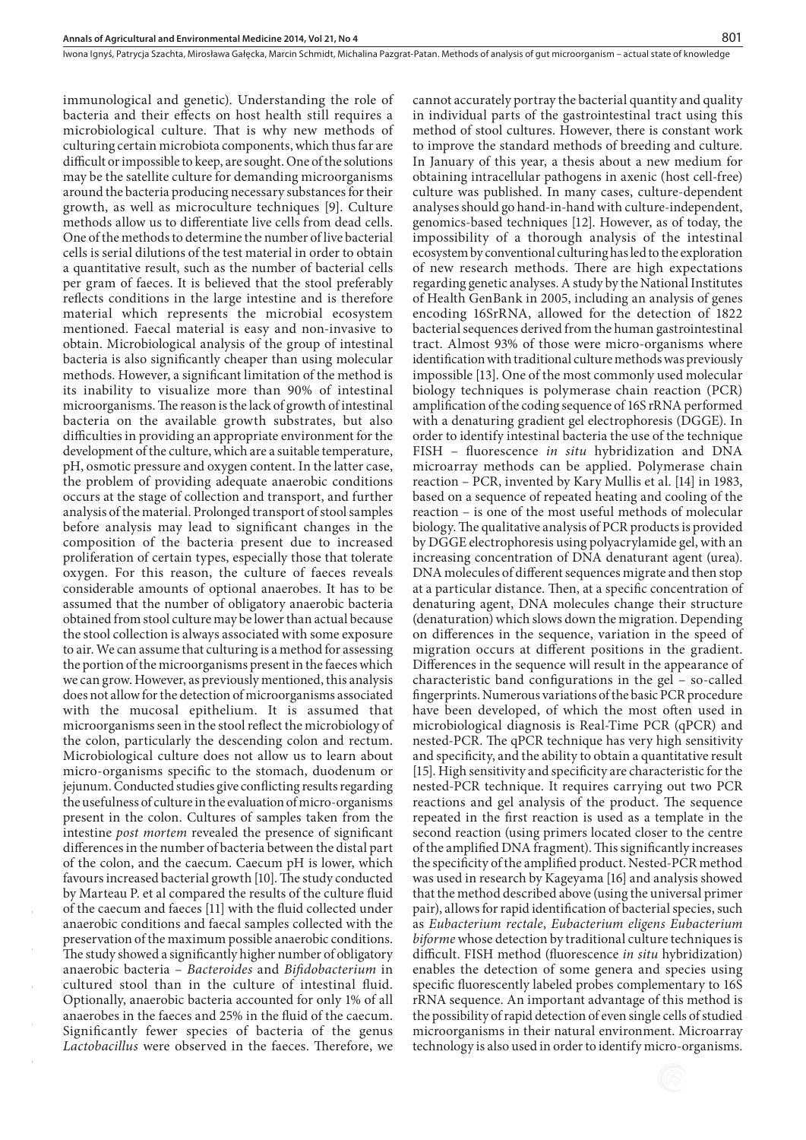immunological and genetic). Understanding the role of bacteria and their effects on host health still requires a microbiological culture. That is why new methods of culturing certain microbiota components, which thus far are difficult or impossible to keep, are sought. One of the solutions may be the satellite culture for demanding microorganisms around the bacteria producing necessary substances for their growth, as well as microculture techniques [9]. Culture methods allow us to differentiate live cells from dead cells. One of the methods to determine the number of live bacterial cells is serial dilutions of the test material in order to obtain a quantitative result, such as the number of bacterial cells per gram of faeces. It is believed that the stool preferably reflects conditions in the large intestine and is therefore material which represents the microbial ecosystem mentioned. Faecal material is easy and non-invasive to obtain. Microbiological analysis of the group of intestinal bacteria is also significantly cheaper than using molecular methods. However, a significant limitation of the method is its inability to visualize more than 90% of intestinal microorganisms. The reason is the lack of growth of intestinal bacteria on the available growth substrates, but also difficulties in providing an appropriate environment for the development of the culture, which are a suitable temperature, pH, osmotic pressure and oxygen content. In the latter case, the problem of providing adequate anaerobic conditions occurs at the stage of collection and transport, and further analysis of the material. Prolonged transport of stool samples before analysis may lead to significant changes in the composition of the bacteria present due to increased proliferation of certain types, especially those that tolerate oxygen. For this reason, the culture of faeces reveals considerable amounts of optional anaerobes. It has to be assumed that the number of obligatory anaerobic bacteria obtained from stool culture may be lower than actual because the stool collection is always associated with some exposure to air. We can assume that culturing is a method for assessing the portion of the microorganisms present in the faeces which we can grow. However, as previously mentioned, this analysis does not allow for the detection of microorganisms associated with the mucosal epithelium. It is assumed that microorganisms seen in the stool reflect the microbiology of the colon, particularly the descending colon and rectum. Microbiological culture does not allow us to learn about micro-organisms specific to the stomach, duodenum or jejunum. Conducted studies give conflicting results regarding the usefulness of culture in the evaluation of micro-organisms present in the colon. Cultures of samples taken from the intestine *post mortem* revealed the presence of significant differences in the number of bacteria between the distal part of the colon, and the caecum. Caecum pH is lower, which favours increased bacterial growth [10]. The study conducted by Marteau P. et al compared the results of the culture fluid of the caecum and faeces [11] with the fluid collected under anaerobic conditions and faecal samples collected with the preservation of the maximum possible anaerobic conditions. The study showed a significantly higher number of obligatory anaerobic bacteria – *Bacteroides* and *Bifidobacterium* in cultured stool than in the culture of intestinal fluid. Optionally, anaerobic bacteria accounted for only 1% of all anaerobes in the faeces and 25% in the fluid of the caecum. Significantly fewer species of bacteria of the genus *Lactobacillus* were observed in the faeces. Therefore, we

cannot accurately portray the bacterial quantity and quality in individual parts of the gastrointestinal tract using this method of stool cultures. However, there is constant work to improve the standard methods of breeding and culture. In January of this year, a thesis about a new medium for obtaining intracellular pathogens in axenic (host cell-free) culture was published. In many cases, culture-dependent analyses should go hand-in-hand with culture-independent, genomics-based techniques [12]. However, as of today, the impossibility of a thorough analysis of the intestinal ecosystem by conventional culturing has led to the exploration of new research methods. There are high expectations regarding genetic analyses. A study by the National Institutes of Health GenBank in 2005, including an analysis of genes encoding 16SrRNA, allowed for the detection of 1822 bacterial sequences derived from the human gastrointestinal tract. Almost 93% of those were micro-organisms where identification with traditional culture methods was previously impossible [13]. One of the most commonly used molecular biology techniques is polymerase chain reaction (PCR) amplification of the coding sequence of 16S rRNA performed with a denaturing gradient gel electrophoresis (DGGE). In order to identify intestinal bacteria the use of the technique FISH – fluorescence *in situ* hybridization and DNA microarray methods can be applied. Polymerase chain reaction – PCR, invented by Kary Mullis et al. [14] in 1983, based on a sequence of repeated heating and cooling of the reaction – is one of the most useful methods of molecular biology. The qualitative analysis of PCR products is provided by DGGE electrophoresis using polyacrylamide gel, with an increasing concentration of DNA denaturant agent (urea). DNA molecules of different sequences migrate and then stop at a particular distance. Then, at a specific concentration of denaturing agent, DNA molecules change their structure (denaturation) which slows down the migration. Depending on differences in the sequence, variation in the speed of migration occurs at different positions in the gradient. Differences in the sequence will result in the appearance of characteristic band configurations in the gel – so-called fingerprints. Numerous variations of the basic PCR procedure have been developed, of which the most often used in microbiological diagnosis is Real-Time PCR (qPCR) and nested-PCR. The qPCR technique has very high sensitivity and specificity, and the ability to obtain a quantitative result [15]. High sensitivity and specificity are characteristic for the nested-PCR technique. It requires carrying out two PCR reactions and gel analysis of the product. The sequence repeated in the first reaction is used as a template in the second reaction (using primers located closer to the centre of the amplified DNA fragment). This significantly increases the specificity of the amplified product. Nested-PCR method was used in research by Kageyama [16] and analysis showed that the method described above (using the universal primer pair), allows for rapid identification of bacterial species, such as *Eubacterium rectale*, *Eubacterium eligens Eubacterium biforme* whose detection by traditional culture techniques is difficult. FISH method (fluorescence *in situ* hybridization) enables the detection of some genera and species using specific fluorescently labeled probes complementary to 16S rRNA sequence. An important advantage of this method is the possibility of rapid detection of even single cells of studied microorganisms in their natural environment. Microarray technology is also used in order to identify micro-organisms.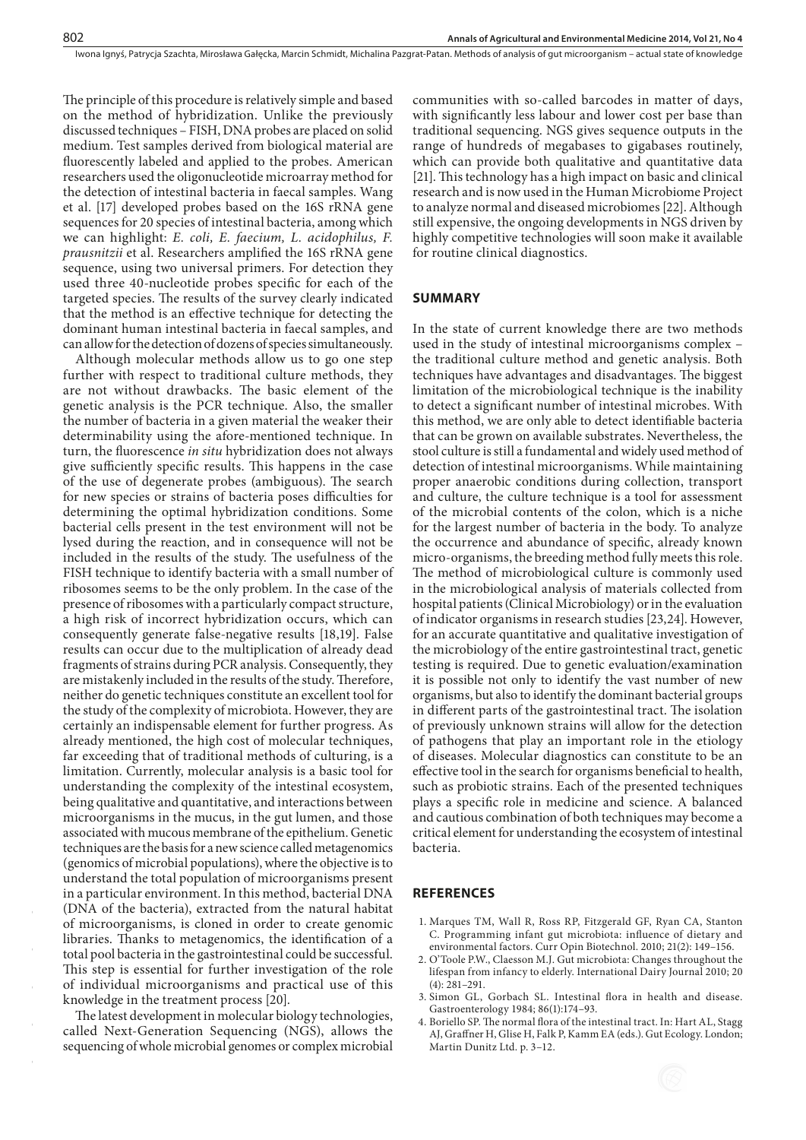The principle of this procedure is relatively simple and based on the method of hybridization. Unlike the previously discussed techniques – FISH, DNA probes are placed on solid medium. Test samples derived from biological material are fluorescently labeled and applied to the probes. American researchers used the oligonucleotide microarray method for the detection of intestinal bacteria in faecal samples. Wang et al. [17] developed probes based on the 16S rRNA gene sequences for 20 species of intestinal bacteria, among which we can highlight: *E. coli, E. faecium, L. acidophilus, F. prausnitzii* et al. Researchers amplified the 16S rRNA gene sequence, using two universal primers. For detection they used three 40-nucleotide probes specific for each of the targeted species. The results of the survey clearly indicated that the method is an effective technique for detecting the dominant human intestinal bacteria in faecal samples, and can allow for the detection of dozens of species simultaneously.

Although molecular methods allow us to go one step further with respect to traditional culture methods, they are not without drawbacks. The basic element of the genetic analysis is the PCR technique. Also, the smaller the number of bacteria in a given material the weaker their [determinability](http://megaslownik.pl/slownik/angielsko_polski/,determinability) using the afore-mentioned technique. In turn, the fluorescence *in situ* hybridization does not always give sufficiently specific results. This happens in the case of the use of degenerate probes (ambiguous). The search for new species or strains of bacteria poses difficulties for determining the optimal hybridization conditions. Some bacterial cells present in the test environment will not be lysed during the reaction, and in consequence will not be included in the results of the study. The usefulness of the FISH technique to identify bacteria with a small number of ribosomes seems to be the only problem. In the case of the presence of ribosomes with a particularly compact structure, a high risk of incorrect hybridization occurs, which can consequently generate false-negative results [18,19]. False results can occur due to the multiplication of already dead fragments of strains during PCR analysis. Consequently, they are mistakenly included in the results of the study. Therefore, neither do genetic techniques constitute an excellent tool for the study of the complexity of microbiota. However, they are certainly an indispensable element for further progress. As already mentioned, the high cost of molecular techniques, far exceeding that of traditional methods of culturing, is a limitation. Currently, molecular analysis is a basic tool for understanding the complexity of the intestinal ecosystem, being qualitative and quantitative, and interactions between microorganisms in the mucus, in the gut lumen, and those associated with mucous membrane of the epithelium. Genetic techniques are the basis for a new science called metagenomics (genomics of microbial populations), where the objective is to understand the total population of microorganisms present in a particular environment. In this method, bacterial DNA (DNA of the bacteria), extracted from the natural habitat of microorganisms, is cloned in order to create genomic libraries. Thanks to metagenomics, the identification of a total pool bacteria in the gastrointestinal could be successful. This step is essential for further investigation of the role of individual microorganisms and practical use of this knowledge in the treatment process [20].

The latest development in molecular biology technologies, called Next-Generation Sequencing (NGS), allows the sequencing of whole microbial genomes or complex microbial communities with so-called barcodes in matter of days, with significantly less labour and lower cost per base than traditional sequencing. NGS gives sequence outputs in the range of hundreds of megabases to gigabases routinely, which can provide both qualitative and quantitative data [21]. This technology has a high impact on basic and clinical research and is now used in the Human Microbiome Project to analyze normal and diseased microbiomes [22]. Although still expensive, the ongoing developments in NGS driven by highly competitive technologies will soon make it available for routine clinical diagnostics.

#### **SUMMARY**

In the state of current knowledge there are two methods used in the study of intestinal microorganisms complex – the traditional culture method and genetic analysis. Both techniques have advantages and disadvantages. The biggest limitation of the microbiological technique is the inability to detect a significant number of intestinal microbes. With this method, we are only able to detect identifiable bacteria that can be grown on available substrates. Nevertheless, the stool culture is still a fundamental and widely used method of detection of intestinal microorganisms. While maintaining proper anaerobic conditions during collection, transport and culture, the culture technique is a tool for assessment of the microbial contents of the colon, which is a niche for the largest number of bacteria in the body. To analyze the occurrence and abundance of specific, already known micro-organisms, the breeding method fully meets this role. The method of microbiological culture is commonly used in the microbiological analysis of materials collected from hospital patients (Clinical Microbiology) or in the evaluation of indicator organisms in research studies [23,24]. However, for an accurate quantitative and qualitative investigation of the microbiology of the entire gastrointestinal tract, genetic testing is required. Due to genetic evaluation/examination it is possible not only to identify the vast number of new organisms, but also to identify the dominant bacterial groups in different parts of the gastrointestinal tract. The isolation of previously unknown strains will allow for the detection of pathogens that play an important role in the etiology of diseases. Molecular diagnostics can constitute to be an effective tool in the search for organisms beneficial to health, such as probiotic strains. Each of the presented techniques plays a specific role in medicine and science. A balanced and cautious combination of both techniques may become a critical element for understanding the ecosystem of intestinal bacteria.

#### **REFERENCES**

- 1. [Marques TM,](http://www.ncbi.nlm.nih.gov/pubmed?term=%22Marques TM%22%5BAuthor%5D) [Wall R,](http://www.ncbi.nlm.nih.gov/pubmed?term=%22Wall R%22%5BAuthor%5D) [Ross RP,](http://www.ncbi.nlm.nih.gov/pubmed?term=%22Ross RP%22%5BAuthor%5D) [Fitzgerald GF](http://www.ncbi.nlm.nih.gov/pubmed?term=%22Fitzgerald GF%22%5BAuthor%5D), [Ryan CA,](http://www.ncbi.nlm.nih.gov/pubmed?term=%22Ryan CA%22%5BAuthor%5D) [Stanton](http://www.ncbi.nlm.nih.gov/pubmed?term=%22Stanton C%22%5BAuthor%5D)  [C](http://www.ncbi.nlm.nih.gov/pubmed?term=%22Stanton C%22%5BAuthor%5D). Programming infant gut microbiota: influence of dietary and environmental factors. [Curr Opin Biotechnol.](file:///E:/InstytutMedycynyWsi/AAEM/21_4/_Dane/17_077/javascript:AL_get(this, ) 2010; 21(2): 149–156.
- 2. O'Toole P.W., Claesson M.J. Gut microbiota: Changes throughout the lifespan from infancy to elderly. [International Dairy Journal](http://www.sciencedirect.com/science/journal/09586946) 2010; [20](http://www.sciencedirect.com/science?_ob=PublicationURL&_tockey=%23TOC%235055%232010%23999799995%231669105%23FLA%23&_cdi=5055&_pubType=J&view=c&_auth=y&_acct=C000050221&_version=1&_urlVersion=0&_userid=10&md5=64c732b36ac0adc4c5c40fba2b472075)  [\(4\)](http://www.sciencedirect.com/science?_ob=PublicationURL&_tockey=%23TOC%235055%232010%23999799995%231669105%23FLA%23&_cdi=5055&_pubType=J&view=c&_auth=y&_acct=C000050221&_version=1&_urlVersion=0&_userid=10&md5=64c732b36ac0adc4c5c40fba2b472075): 281–291.
- 3. [Simon GL](http://www.ncbi.nlm.nih.gov/pubmed?term=%22Simon GL%22%5BAuthor%5D), [Gorbach SL](http://www.ncbi.nlm.nih.gov/pubmed?term=%22Gorbach SL%22%5BAuthor%5D). Intestinal flora in health and disease. [Gastroenterology](file:///E:/InstytutMedycynyWsi/AAEM/21_4/_Dane/17_077/javascript:AL_get(this, ) 1984; 86(1):174–93.
- 4. Boriello SP. The normal flora of the intestinal tract. In: Hart AL, Stagg AJ, Graffner H, Glise H, Falk P, Kamm EA (eds.). Gut Ecology. London; Martin Dunitz Ltd. p. 3–12.